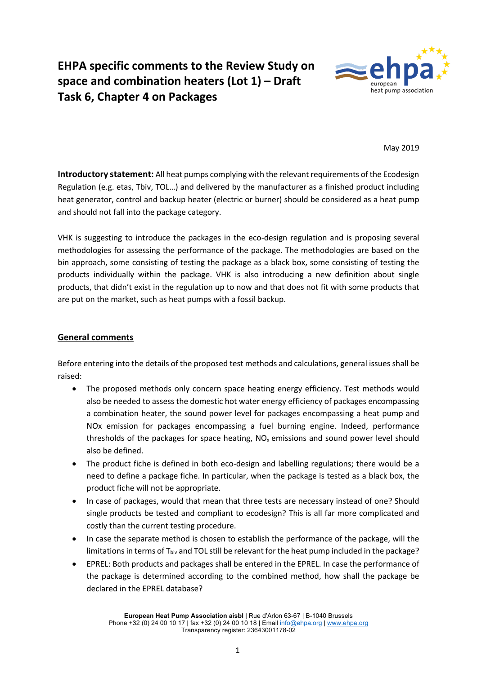# **EHPA specific comments to the Review Study on space and combination heaters (Lot 1) – Draft Task 6, Chapter 4 on Packages**



May 2019

**Introductory statement:** All heat pumps complying with the relevant requirements of the Ecodesign Regulation (e.g. etas, Tbiv, TOL…) and delivered by the manufacturer as a finished product including heat generator, control and backup heater (electric or burner) should be considered as a heat pump and should not fall into the package category.

VHK is suggesting to introduce the packages in the eco-design regulation and is proposing several methodologies for assessing the performance of the package. The methodologies are based on the bin approach, some consisting of testing the package as a black box, some consisting of testing the products individually within the package. VHK is also introducing a new definition about single products, that didn't exist in the regulation up to now and that does not fit with some products that are put on the market, such as heat pumps with a fossil backup.

## **General comments**

Before entering into the details of the proposed test methods and calculations, general issues shall be raised:

- The proposed methods only concern space heating energy efficiency. Test methods would also be needed to assess the domestic hot water energy efficiency of packages encompassing a combination heater, the sound power level for packages encompassing a heat pump and NOx emission for packages encompassing a fuel burning engine. Indeed, performance thresholds of the packages for space heating,  $NO<sub>x</sub>$  emissions and sound power level should also be defined.
- The product fiche is defined in both eco-design and labelling regulations; there would be a need to define a package fiche. In particular, when the package is tested as a black box, the product fiche will not be appropriate.
- In case of packages, would that mean that three tests are necessary instead of one? Should single products be tested and compliant to ecodesign? This is all far more complicated and costly than the current testing procedure.
- In case the separate method is chosen to establish the performance of the package, will the limitations in terms of T<sub>biv</sub> and TOL still be relevant for the heat pump included in the package?
- EPREL: Both products and packages shall be entered in the EPREL. In case the performance of the package is determined according to the combined method, how shall the package be declared in the EPREL database?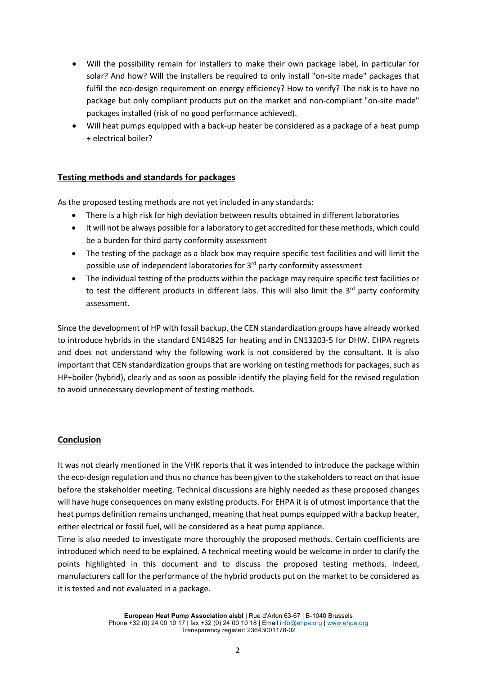- Will the possibility remain for installers to make their own package label, in particular for solar? And how? Will the installers be required to only install "on-site made" packages that fulfil the eco-design requirement on energy efficiency? How to verify? The risk is to have no package but only compliant products put on the market and non-compliant "on-site made" packages installed (risk of no good performance achieved).
- Will heat pumps equipped with a back-up heater be considered as a package of a heat pump + electrical boiler?

### **Testing methods and standards for packages**

As the proposed testing methods are not yet included in any standards:

- There is a high risk for high deviation between results obtained in different laboratories
- It will not be always possible for a laboratory to get accredited for these methods, which could be a burden for third party conformity assessment
- The testing of the package as a black box may require specific test facilities and will limit the possible use of independent laboratories for 3<sup>rd</sup> party conformity assessment
- The individual testing of the products within the package may require specific test facilities or to test the different products in different labs. This will also limit the  $3<sup>rd</sup>$  party conformity assessment.

Since the development of HP with fossil backup, the CEN standardization groups have already worked to introduce hybrids in the standard EN14825 for heating and in EN13203-5 for DHW. EHPA regrets and does not understand why the following work is not considered by the consultant. It is also important that CEN standardization groups that are working on testing methods for packages, such as HP+boiler (hybrid), clearly and as soon as possible identify the playing field for the revised regulation to avoid unnecessary development of testing methods.

### **Conclusion**

It was not clearly mentioned in the VHK reports that it was intended to introduce the package within the eco-design regulation and thus no chance has been given to the stakeholders to react on that issue before the stakeholder meeting. Technical discussions are highly needed as these proposed changes will have huge consequences on many existing products. For EHPA it is of utmost importance that the heat pumps definition remains unchanged, meaning that heat pumps equipped with a backup heater, either electrical or fossil fuel, will be considered as a heat pump appliance.

Time is also needed to investigate more thoroughly the proposed methods. Certain coefficients are introduced which need to be explained. A technical meeting would be welcome in order to clarify the points highlighted in this document and to discuss the proposed testing methods. Indeed, manufacturers call for the performance of the hybrid products put on the market to be considered as it is tested and not evaluated in a package.